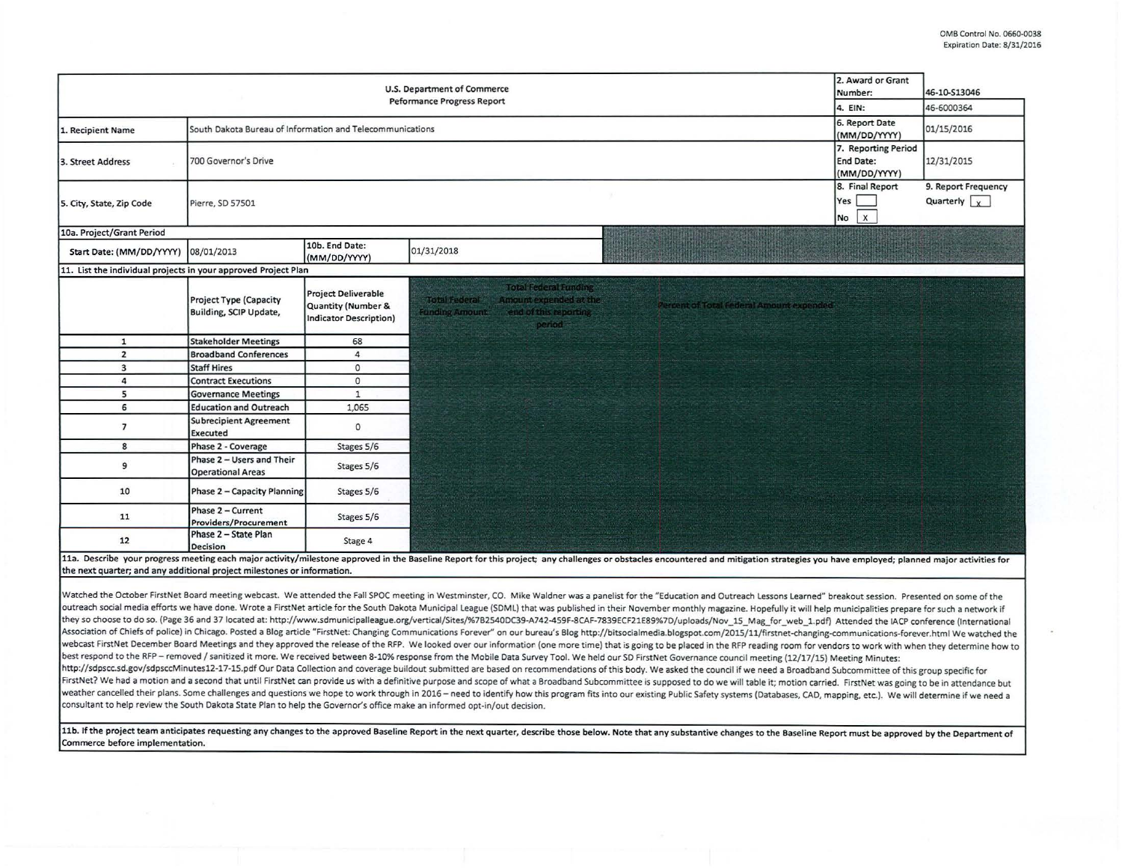|                                                                         | 2. Award or Grant<br>U.S. Department of Commerce<br>Number: | 46-10-S13046                                                               |                                                                                                                                                                                                                                |            |  |  |  |
|-------------------------------------------------------------------------|-------------------------------------------------------------|----------------------------------------------------------------------------|--------------------------------------------------------------------------------------------------------------------------------------------------------------------------------------------------------------------------------|------------|--|--|--|
|                                                                         |                                                             |                                                                            | <b>Peformance Progress Report</b><br>4. EIN:                                                                                                                                                                                   | 46-6000364 |  |  |  |
| 1. Recipient Name                                                       | South Dakota Bureau of Information and Telecommunications   |                                                                            | 6. Report Date<br>(MM/DD/YYYY)                                                                                                                                                                                                 | 01/15/2016 |  |  |  |
| 3. Street Address                                                       | 700 Governor's Drive                                        | 7. Reporting Period<br>End Date:<br>(MM/DD/YYYY)<br>8. Final Report        | 12/31/2015<br>9. Report Frequency                                                                                                                                                                                              |            |  |  |  |
| 5. City, State, Zip Code                                                | Pierre, SD 57501                                            |                                                                            |                                                                                                                                                                                                                                |            |  |  |  |
| 10a. Project/Grant Period                                               |                                                             |                                                                            |                                                                                                                                                                                                                                |            |  |  |  |
| Start Date: (MM/DD/YYYY)                                                | 08/01/2013                                                  | 10b. End Date:<br>(MM/DD/YYYY)                                             | 01/31/2018                                                                                                                                                                                                                     |            |  |  |  |
| 11. List the individual projects in your approved Project Plan          |                                                             |                                                                            |                                                                                                                                                                                                                                |            |  |  |  |
|                                                                         | <b>Project Type (Capacity</b><br>Building, SCIP Update,     | <b>Project Deliverable</b><br>Quantity (Number &<br>Indicator Description) | Total Federal Funding<br><b>Total Federal</b><br>Amount expended at the<br>ercent of Total Federal Amount expended<br>end of this reporting<br><b>Funding Amount</b><br>period                                                 |            |  |  |  |
| $\mathbf{1}$                                                            | <b>Stakeholder Meetings</b>                                 | 68                                                                         |                                                                                                                                                                                                                                |            |  |  |  |
| $\overline{2}$                                                          | <b>Broadband Conferences</b>                                | $\overline{4}$                                                             |                                                                                                                                                                                                                                |            |  |  |  |
| $\overline{3}$                                                          | <b>Staff Hires</b>                                          | $\circ$                                                                    |                                                                                                                                                                                                                                |            |  |  |  |
| 4                                                                       | <b>Contract Executions</b>                                  | $\circ$                                                                    |                                                                                                                                                                                                                                |            |  |  |  |
| 5                                                                       | <b>Governance Meetings</b>                                  | $\mathbf{1}$                                                               |                                                                                                                                                                                                                                |            |  |  |  |
| 6                                                                       | <b>Education and Outreach</b>                               | 1,065                                                                      |                                                                                                                                                                                                                                |            |  |  |  |
| $\overline{7}$                                                          | <b>Subrecipient Agreement</b><br>Executed                   | $\circ$                                                                    |                                                                                                                                                                                                                                |            |  |  |  |
| 8                                                                       | Phase 2 - Coverage                                          | Stages 5/6                                                                 |                                                                                                                                                                                                                                |            |  |  |  |
| 9                                                                       | Phase 2 - Users and Their<br><b>Operational Areas</b>       | Stages 5/6                                                                 |                                                                                                                                                                                                                                |            |  |  |  |
| 10                                                                      | Phase 2 - Capacity Planning                                 | Stages 5/6                                                                 |                                                                                                                                                                                                                                |            |  |  |  |
| 11                                                                      | Phase 2 - Current<br>Providers/Procurement                  | Stages 5/6                                                                 |                                                                                                                                                                                                                                |            |  |  |  |
| 12                                                                      | Phase 2 - State Plan<br>Decision                            | Stage 4                                                                    |                                                                                                                                                                                                                                |            |  |  |  |
| the next quarter; and any additional project milestones or information. |                                                             |                                                                            | 11a. Describe your progress meeting each major activity/milestone approved in the Baseline Report for this project; any challenges or obstacles encountered and mitigation strategies you have employed; planned major activit |            |  |  |  |

Watched the October FirstNet Board meeting webcast. We attended the Fall SPOC meeting in Westminster, CO. Mike Waldner was a panelist for the "Education and Outreach Lessons Learned" breakout session. Presented on some of outreach social media efforts we have done. Wrote a FirstNet article for the South Dakota Municipal League (SDML) that was published in their November monthly magazine. Hopefully it will help municipalities prepare for suc they so choose to do so. (Page 36 and 37 1ocated at: http://www.sdmunicipalleague.org/verticai/Sites/%7B2540DC39-A742-459F-8CAF-7839ECF21E89%7D/ uploads/ Nov\_15\_Mag\_for\_web\_1.pdf) Attended the IACP conference (International Association of Chiefs of police) in Chicago. Posted a Blog article "FirstNet: Changing Communications Forever" on our bureau's Blog http://bitsocialmedia.blogspot.com/2015/11/firstnet-changing-communications-forever.html W webcast FirstNet December Board Meetings and they approved the release of the RFP. We looked over our information (one more time) that is going to be placed in the RFP reading room for vendors to work with when they determ best respond to the RFP - removed / sanitized it more. We received between 8-10% response from the Mobile Data Survey Tool. We held our SD FirstNet Governance council meeting (12/17/15) Meeting Minutes: http://sdpscc.sd.gov/sdpsccMinutes12-17-15.pdf Our Data Collection and coverage buildout submitted are based on recommendations of this body. We asked the council if we need a Broadband Subcommittee of this group specific FirstNet? We had a motion and a second that until FirstNet can provide us with a definitive purpose and scope of what a Broadband Subcommittee is supposed to do we will table it; motion carried. FirstNet was going to be in weather cancelled their plans. Some challenges and questions we hope to work through in 2016 - need to identify how this program fits into our existing Public Safety systems (Databases, CAD, mapping, etc.). We will determi consultant to help review the South Dakota State Plan to help the Governor's office make an informed opt-in/out decision.

11b. If the project team anticipates requesting any changes to the approved Baseline Report in the next quarter, describe those below. Note that any substantive changes to the Baseline Report must be approved by the Depart Commerce before implementation.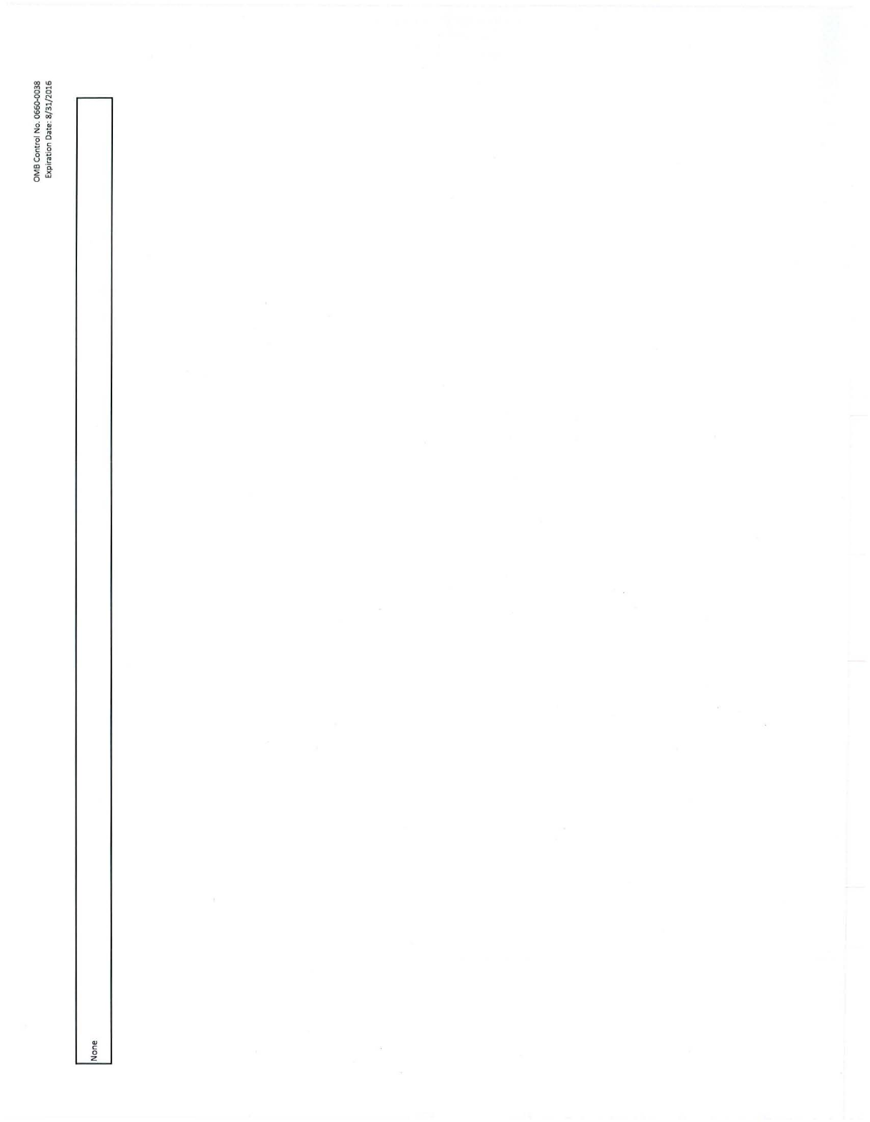OMB Control No. 0660-0038<br>Expiration Date: 8/31/2016 None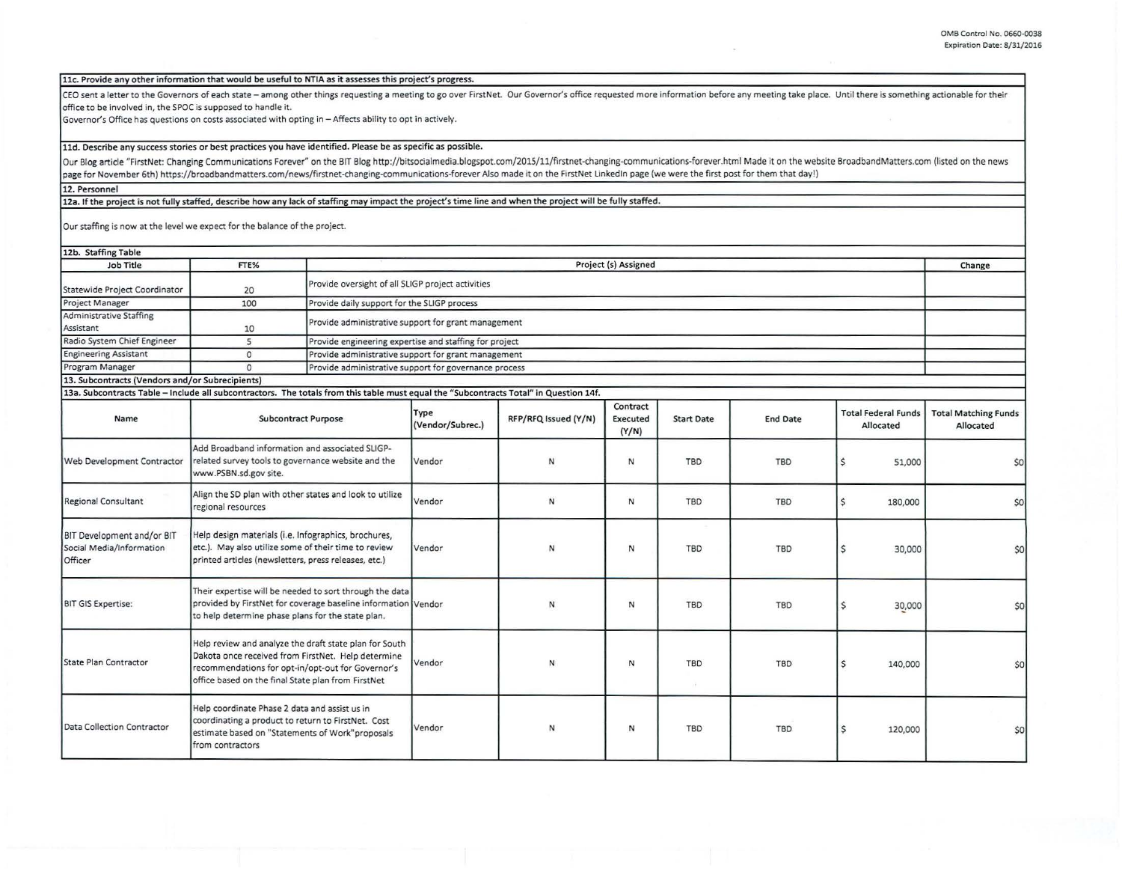11c. Provide any other information that would be useful to NTIA as it assesses this project's progress.

CEO sent a letter to the Governors of each state - among other things requesting a meeting to go over FirstNet. Our Governor's office requested more information before any meeting take place. Until there is something actio office to be involved in, the SPOC is supposed to handle it.

Governor's Office has questions on costs associated with opting in- Affects ability to opt in actively.

11d. Describe any success stories or best practices you have identified. Please be as specific as possible.

Our Blog article "FirstNet: Changing Communications Forever" on the BIT Blog http://bitsocialmedia.blogspot.com/2015/11/firstnet-changing-communications-forever.html Made it on the website BroadbandMatters.com (listed on t page for November 6th) https://broadbandmatters.com/news/firstnet-changing-communications-forever Also made it on the FirstNet LinkedIn page (we were the first post for them that day!)

12. Personnel

12a. If the project is not fully staffed, describe how any lack of staffing may impact the project's time line and when the project will be fully staffed.

Our staffing is now at the level we expect for the balance of the project.

| 12b. Staffing Table<br>Job Title                | FTE% | Project (s) Assigned                                   | Change |
|-------------------------------------------------|------|--------------------------------------------------------|--------|
|                                                 |      | Provide oversight of all SLIGP project activities      |        |
| Statewide Project Coordinator                   | 20   |                                                        |        |
| Project Manager                                 | 100  | Provide daily support for the SLIGP process            |        |
| Administrative Staffing                         |      |                                                        |        |
| Assistant                                       | 10   | Provide administrative support for grant management    |        |
| Radio System Chief Engineer                     |      | Provide engineering expertise and staffing for project |        |
| <b>Engineering Assistant</b>                    |      | Provide administrative support for grant management    |        |
| Program Manager                                 |      | Provide administrative support for governance process  |        |
| 13. Subcontracts (Vendors and/or Subrecipients) |      |                                                        |        |

13a. Subcontracts Table -Include all subcontractors. The totals from this table must equal the "Subcontracts Total" in Question 14f.

| Name                                                              | <b>Subcontract Purpose</b>                                                                                                                                                                                              | Type<br>(Vendor/Subrec.) | RFP/RFQ Issued (Y/N) | Contract<br>Executed<br>(Y/N) | <b>Start Date</b> | <b>End Date</b> | <b>Total Federal Funds</b><br>Allocated | <b>Total Matching Funds</b><br>Allocated |
|-------------------------------------------------------------------|-------------------------------------------------------------------------------------------------------------------------------------------------------------------------------------------------------------------------|--------------------------|----------------------|-------------------------------|-------------------|-----------------|-----------------------------------------|------------------------------------------|
| Web Development Contractor                                        | Add Broadband information and associated SLIGP-<br>related survey tools to governance website and the<br>www.PSBN.sd.gov site.                                                                                          | Vendor                   | N                    | N                             | TBD               | <b>TBD</b>      | 51,000                                  | \$0                                      |
| Regional Consultant                                               | Align the SD plan with other states and look to utilize<br>regional resources                                                                                                                                           | Vendor                   | $\mathsf{N}\xspace$  | N                             | <b>TBD</b>        | TBD             | 180,000                                 | \$0                                      |
| BIT Development and/or BIT<br>Social Media/Information<br>Officer | Help design materials (i.e. Infographics, brochures,<br>etc.). May also utilize some of their time to review<br>printed articles (newsletters, press releases, etc.)                                                    | Vendor                   | N                    | N                             | TBD               | TBD             | 30,000<br>S                             | 50                                       |
| <b>BIT GIS Expertise:</b>                                         | Their expertise will be needed to sort through the data<br>provided by FirstNet for coverage baseline information Vendor<br>to help determine phase plans for the state plan.                                           |                          | N                    | N                             | TBD               | <b>TBD</b>      | 30,000<br>\$                            | \$0                                      |
| State Plan Contractor                                             | Help review and analyze the draft state plan for South<br>Dakota once received from FirstNet. Help determine<br>recommendations for opt-in/opt-out for Governor's<br>office based on the final State plan from FirstNet | Vendor                   | N                    | N                             | TBD               | TBD             | $\mathsf{S}$<br>140,000                 | 50                                       |
| Data Collection Contractor                                        | Help coordinate Phase 2 data and assist us in<br>coordinating a product to return to FirstNet. Cost<br>estimate based on "Statements of Work"proposals<br>from contractors                                              | Vendor                   | Ν                    | N                             | TBD               | <b>TBD</b>      | Ś<br>120,000                            | \$0                                      |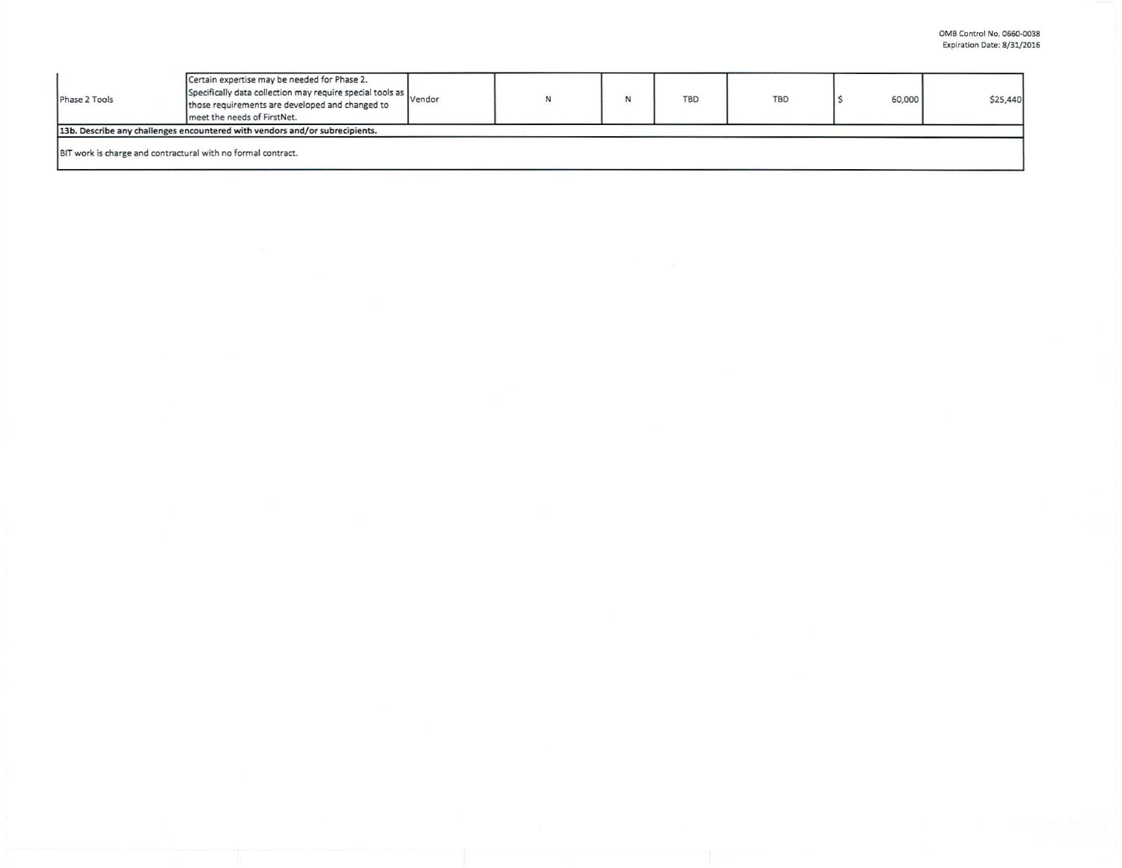| Phase 2 Tools                                                | Certain expertise may be needed for Phase 2.<br>Specifically data collection may require special tools as<br>those requirements are developed and changed to<br>meet the needs of FirstNet. | Vendor | $\mathbf{N}$ | <b>TBD</b> | <b>TBD</b> | 60,000 | \$25,440 |
|--------------------------------------------------------------|---------------------------------------------------------------------------------------------------------------------------------------------------------------------------------------------|--------|--------------|------------|------------|--------|----------|
|                                                              | 13b. Describe any challenges encountered with vendors and/or subrecipients.                                                                                                                 |        |              |            |            |        |          |
| BIT work is charge and contractural with no formal contract. |                                                                                                                                                                                             |        |              |            |            |        |          |